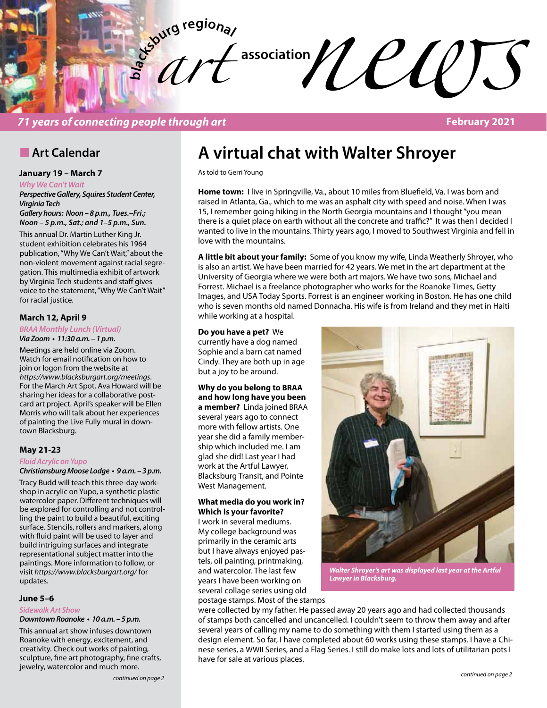

## *71 years of connecting people through art* **February 2021**

## **n** Art Calendar

## **January 19 – March 7**

*Why We Can't Wait*

*Perspective Gallery, Squires Student Center, Virginia Tech*

*Gallery hours: Noon – 8 p.m., Tues.–Fri.; Noon – 5 p.m., Sat.; and 1–5 p.m., Sun.*

This annual Dr. Martin Luther King Jr. student exhibition celebrates his 1964 publication, "Why We Can't Wait," about the non-violent movement against racial segregation. This multimedia exhibit of artwork by Virginia Tech students and staff gives voice to the statement, "Why We Can't Wait" for racial justice.

## **March 12, April 9**

## *BRAA Monthly Lunch (Virtual)*

**Via Zoom • 11:30 a.m. – 1 p.m.** 

Meetings are held online via Zoom. Watch for email notification on how to join or logon from the website at *https://www.blacksburgart.org/meetings*. For the March Art Spot, Ava Howard will be sharing her ideas for a collaborative postcard art project. April's speaker will be Ellen Morris who will talk about her experiences of painting the Live Fully mural in downtown Blacksburg.

### **May 21-23**

#### *Fluid Acrylic on Yupo*

**Christiansburg Moose Lodge • 9 a.m. – 3 p.m.** 

Tracy Budd will teach this three-day workshop in acrylic on Yupo, a synthetic plastic watercolor paper. Different techniques will be explored for controlling and not controlling the paint to build a beautiful, exciting surface. Stencils, rollers and markers, along with fluid paint will be used to layer and build intriguing surfaces and integrate representational subject matter into the paintings. More information to follow, or visit *https://www.blacksburgart.org/* for updates.

#### **June 5–6**

#### *Sidewalk Art Show*

**Downtown Roanoke • 10 a.m. – 5 p.m.** 

This annual art show infuses downtown Roanoke with energy, excitement, and creativity. Check out works of painting, sculpture, fine art photography, fine crafts, jewelry, watercolor and much more.

## **A virtual chat with Walter Shroyer**

As told to Gerri Young

Home town: I live in Springville, Va., about 10 miles from Bluefield, Va. I was born and raised in Atlanta, Ga., which to me was an asphalt city with speed and noise. When I was 15, I remember going hiking in the North Georgia mountains and I thought "you mean there is a quiet place on earth without all the concrete and traffic?" It was then I decided I wanted to live in the mountains. Thirty years ago, I moved to Southwest Virginia and fell in love with the mountains.

**A little bit about your family:** Some of you know my wife, Linda Weatherly Shroyer, who is also an artist. We have been married for 42 years. We met in the art department at the University of Georgia where we were both art majors. We have two sons, Michael and Forrest. Michael is a freelance photographer who works for the Roanoke Times, Getty Images, and USA Today Sports. Forrest is an engineer working in Boston. He has one child who is seven months old named Donnacha. His wife is from Ireland and they met in Haiti while working at a hospital.

#### **Do you have a pet?** We

currently have a dog named Sophie and a barn cat named Cindy. They are both up in age but a joy to be around.

**Why do you belong to BRAA and how long have you been a member?** Linda joined BRAA several years ago to connect more with fellow artists. One year she did a family membership which included me. I am glad she did! Last year I had work at the Artful Lawyer, Blacksburg Transit, and Pointe West Management.

### **What media do you work in? Which is your favorite?**

I work in several mediums. My college background was primarily in the ceramic arts but I have always enjoyed pastels, oil painting, printmaking, and watercolor. The last few years I have been working on several collage series using old postage stamps. Most of the stamps



*Walter Shroyer's art was displayed last year at the Artful Lawyer in Blacksburg.*

were collected by my father. He passed away 20 years ago and had collected thousands of stamps both cancelled and uncancelled. I couldn't seem to throw them away and after several years of calling my name to do something with them I started using them as a design element. So far, I have completed about 60 works using these stamps. I have a Chinese series, a WWII Series, and a Flag Series. I still do make lots and lots of utilitarian pots I have for sale at various places.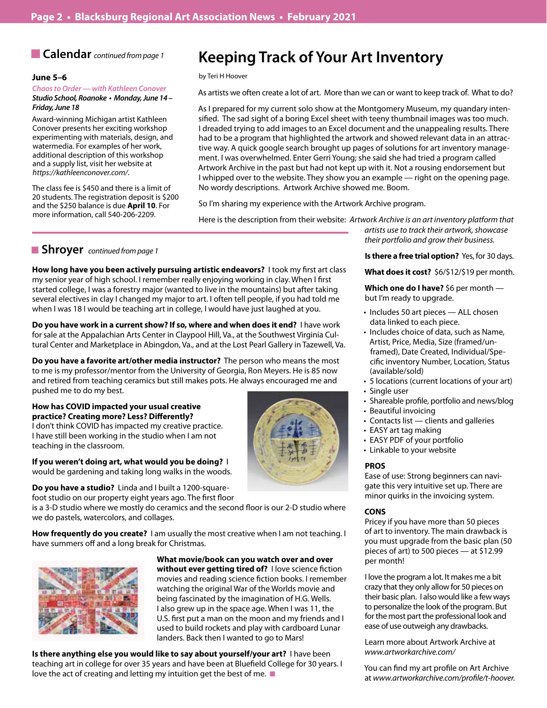## **n Calendar** *continued from page 1*

### **June 5–6**

### *Chaos to Order — with Kathleen Conover* **Studio School, Roanoke • Monday, June 14 –**

**Friday, June 18** Award-winning Michigan artist Kathleen Conover presents her exciting workshop experimenting with materials, design, and watermedia. For examples of her work, additional description of this workshop and a supply list, visit her website at *https://kathleenconover.com/*.

The class fee is \$450 and there is a limit of 20 students. The registration deposit is \$200 and the \$250 balance is due **April 10**. For more information, call 540-206-2209.

## **Keeping Track of Your Art Inventory**

#### by Teri H Hoover

As artists we often create a lot of art. More than we can or want to keep track of. What to do?

As I prepared for my current solo show at the Montgomery Museum, my quandary intensified. The sad sight of a boring Excel sheet with teeny thumbnail images was too much. I dreaded trying to add images to an Excel document and the unappealing results. There had to be a program that highlighted the artwork and showed relevant data in an attractive way. A quick google search brought up pages of solutions for art inventory management. I was overwhelmed. Enter Gerri Young; she said she had tried a program called Artwork Archive in the past but had not kept up with it. Not a rousing endorsement but I whipped over to the website. They show you an example — right on the opening page. No wordy descriptions. Artwork Archive showed me. Boom.

So I'm sharing my experience with the Artwork Archive program.

Here is the description from their website: *Artwork Archive is an art inventory platform that* 

## ■ **Shroyer** *continued from page 1*

**How long have you been actively pursuing artistic endeavors?** I took my first art class my senior year of high school. I remember really enjoying working in clay. When I first started college, I was a forestry major (wanted to live in the mountains) but after taking several electives in clay I changed my major to art. I often tell people, if you had told me when I was 18 I would be teaching art in college, I would have just laughed at you.

**Do you have work in a current show? If so, where and when does it end?** I have work for sale at the Appalachian Arts Center in Claypool Hill, Va., at the Southwest Virginia Cultural Center and Marketplace in Abingdon, Va., and at the Lost Pearl Gallery in Tazewell, Va.

**Do you have a favorite art/other media instructor?** The person who means the most to me is my professor/mentor from the University of Georgia, Ron Meyers. He is 85 now and retired from teaching ceramics but still makes pots. He always encouraged me and pushed me to do my best.

## **How has COVID impacted your usual creative practice? Creating more? Less? Differently?**

I don't think COVID has impacted my creative practice. I have still been working in the studio when I am not teaching in the classroom.

**If you weren't doing art, what would you be doing?** I would be gardening and taking long walks in the woods.

**Do you have a studio?** Linda and I built a 1200-square-

foot studio on our property eight years ago. The first floor

is a 3-D studio where we mostly do ceramics and the second floor is our 2-D studio where we do pastels, watercolors, and collages.

**How frequently do you create?** I am usually the most creative when I am not teaching. I have summers off and a long break for Christmas.



**What movie/book can you watch over and over without ever getting tired of?** I love science fiction movies and reading science fiction books. I remember watching the original War of the Worlds movie and being fascinated by the imagination of H.G. Wells. I also grew up in the space age. When I was 11, the U.S. first put a man on the moon and my friends and I used to build rockets and play with cardboard Lunar landers. Back then I wanted to go to Mars!

**Is there anything else you would like to say about yourself/your art?** I have been teaching art in college for over 35 years and have been at Bluefield College for 30 years. I love the act of creating and letting my intuition get the best of me.  $\blacksquare$ 

*their portfolio and grow their business.* **Is there a free trial option?** Yes, for 30 days.

*artists use to track their artwork, showcase* 

**What does it cost?** \$6/\$12/\$19 per month.

**Which one do I have?** \$6 per month but I'm ready to upgrade.

- Includes 50 art pieces ALL chosen data linked to each piece.
- Includes choice of data, such as Name, Artist, Price, Media, Size (framed/unframed), Date Created, Individual/Specific inventory Number, Location, Status (available/sold)
- • 5 locations (current locations of your art)
- Single user
- Shareable profile, portfolio and news/blog
- Beautiful invoicing
- Contacts list clients and galleries
- EASY art tag making
- EASY PDF of your portfolio
- Linkable to your website

## **PROS**

Ease of use: Strong beginners can navigate this very intuitive set up. There are minor quirks in the invoicing system.

### **CONS**

Pricey if you have more than 50 pieces of art to inventory. The main drawback is you must upgrade from the basic plan (50 pieces of art) to 500 pieces — at \$12.99 per month!

I love the program a lot. It makes me a bit crazy that they only allow for 50 pieces on their basic plan. I also would like a few ways to personalize the look of the program. But for the most part the professional look and ease of use outweigh any drawbacks.

Learn more about Artwork Archive at *www.artworkarchive.com/*

You can find my art profile on Art Archive at *www.artworkarchive.com/profile/t-hoover.*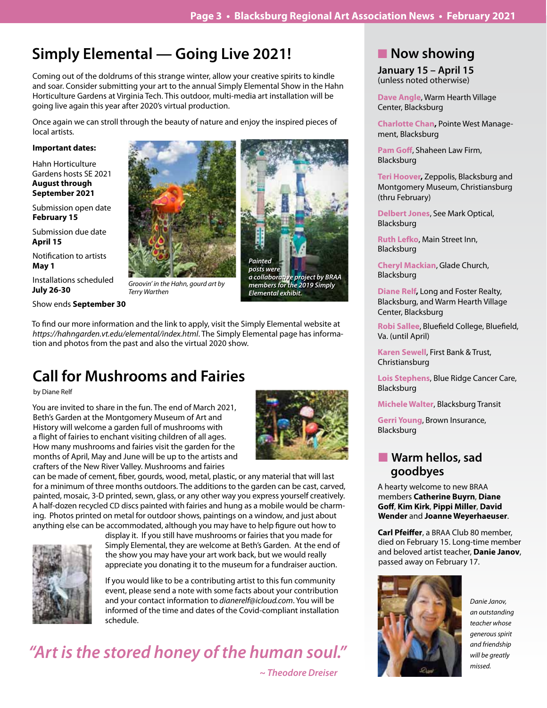## **Simply Elemental — Going Live 2021!**

Coming out of the doldrums of this strange winter, allow your creative spirits to kindle and soar. Consider submitting your art to the annual Simply Elemental Show in the Hahn Horticulture Gardens at Virginia Tech. This outdoor, multi-media art installation will be going live again this year after 2020's virtual production.

Once again we can stroll through the beauty of nature and enjoy the inspired pieces of local artists.

## **Important dates:**

Hahn Horticulture Gardens hosts SE 2021 **August through September 2021**

Submission open date **February 15**

Submission due date **April 15**

Notification to artists **May 1**

Installations scheduled **July 26-30**

Show ends **September 30**







**members for the 2019 Simply**  *Elemental exhibit. Elemental exhibit.* **members for the 2019 Simply** 

To find our more information and the link to apply, visit the Simply Elemental website at *https://hahngarden.vt.edu/elemental/index.html*. The Simply Elemental page has information and photos from the past and also the virtual 2020 show.

## **Call for Mushrooms and Fairies**

by Diane Relf

You are invited to share in the fun. The end of March 2021, Beth's Garden at the Montgomery Museum of Art and History will welcome a garden full of mushrooms with a flight of fairies to enchant visiting children of all ages. How many mushrooms and fairies visit the garden for the months of April, May and June will be up to the artists and crafters of the New River Valley. Mushrooms and fairies



can be made of cement, fiber, gourds, wood, metal, plastic, or any material that will last for a minimum of three months outdoors. The additions to the garden can be cast, carved, painted, mosaic, 3-D printed, sewn, glass, or any other way you express yourself creatively. A half-dozen recycled CD discs painted with fairies and hung as a mobile would be charming. Photos printed on metal for outdoor shows, paintings on a window, and just about anything else can be accommodated, although you may have to help figure out how to



display it. If you still have mushrooms or fairies that you made for Simply Elemental, they are welcome at Beth's Garden. At the end of the show you may have your art work back, but we would really appreciate you donating it to the museum for a fundraiser auction.

If you would like to be a contributing artist to this fun community event, please send a note with some facts about your contribution and your contact information to *dianerelf@icloud.com*. You will be informed of the time and dates of the Covid-compliant installation schedule.

# *"Art is the stored honey of the human soul."*

 *~ Theodore Dreiser*

## **Now showing**

**January 15 – April 15** (unless noted otherwise)

**Dave Angle**, Warm Hearth Village Center, Blacksburg

**Charlotte Chan,** Pointe West Management, Blacksburg

**Pam Goff**, Shaheen Law Firm, Blacksburg

**Teri Hoover,** Zeppolis, Blacksburg and Montgomery Museum, Christiansburg (thru February)

**Delbert Jones**, See Mark Optical, Blacksburg

**Ruth Lefko**, Main Street Inn, Blacksburg

**Cheryl Mackian**, Glade Church, Blacksburg

**Diane Relf,** Long and Foster Realty, Blacksburg, and Warm Hearth Village Center, Blacksburg

**Robi Sallee**, Bluefield College, Bluefield, Va. (until April)

**Karen Sewell**, First Bank & Trust, Christiansburg

**Lois Stephens**, Blue Ridge Cancer Care, Blacksburg

**Michele Walter**, Blacksburg Transit

**Gerri Young**, Brown Insurance, Blacksburg

## **Narm hellos, sad goodbyes**

A hearty welcome to new BRAA members **Catherine Buyrn**, **Diane Goff**, **Kim Kirk**, **Pippi Miller**, **David Wender** and **Joanne Weyerhaeuser**.

**Carl Pfeiffer**, a BRAA Club 80 member, died on February 15. Long-time member and beloved artist teacher, **Danie Janov**, passed away on February 17.



*Danie Janov, an outstanding teacher whose generous spirit and friendship will be greatly missed.*